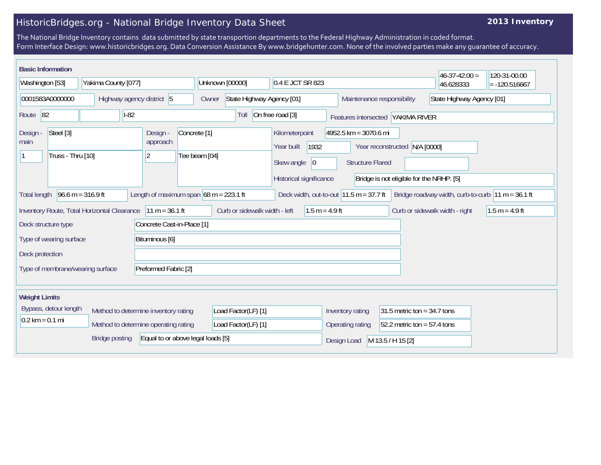## HistoricBridges.org - National Bridge Inventory Data Sheet

## **2013 Inventory**

The National Bridge Inventory contains data submitted by state transportion departments to the Federal Highway Administration in coded format. Form Interface Design: www.historicbridges.org. Data Conversion Assistance By www.bridgehunter.com. None of the involved parties make any guarantee of accuracy.

| <b>Basic Information</b>                                                                                                                                                                                                    |  |                           |                                      |                                                               |                                          |                                    | 0.4 E JCT SR 823                                                                                             |                                                   |                                                         | $46 - 37 - 42.00 =$           | 120-31-00.00 |                 |
|-----------------------------------------------------------------------------------------------------------------------------------------------------------------------------------------------------------------------------|--|---------------------------|--------------------------------------|---------------------------------------------------------------|------------------------------------------|------------------------------------|--------------------------------------------------------------------------------------------------------------|---------------------------------------------------|---------------------------------------------------------|-------------------------------|--------------|-----------------|
| Washington [53]                                                                                                                                                                                                             |  | Yakima County [077]       |                                      |                                                               |                                          | Unknown [00000]                    |                                                                                                              |                                                   |                                                         |                               | 46.628333    | $= -120.516667$ |
| 0001583A0000000                                                                                                                                                                                                             |  | Highway agency district 5 |                                      |                                                               |                                          | State Highway Agency [01]<br>Owner |                                                                                                              |                                                   | State Highway Agency [01]<br>Maintenance responsibility |                               |              |                 |
| Route 82<br>$I-82$                                                                                                                                                                                                          |  |                           |                                      | On free road [3]<br>Toll<br>Features intersected YAKIMA RIVER |                                          |                                    |                                                                                                              |                                                   |                                                         |                               |              |                 |
| Steel [3]<br>Design -<br>main<br>Truss - Thru [10]                                                                                                                                                                          |  |                           | Design -<br>approach<br>$ 2\rangle$  |                                                               | Concrete <sup>[1]</sup><br>Tee beam [04] |                                    | Kilometerpoint<br>4952.5 km = 3070.6 mi<br>1932<br>Year reconstructed N/A [0000]<br>Year built<br>Skew angle |                                                   |                                                         |                               |              |                 |
|                                                                                                                                                                                                                             |  |                           |                                      |                                                               |                                          | 0 <br>Historical significance      | <b>Structure Flared</b><br>Bridge is not eligible for the NRHP. [5]                                          |                                                   |                                                         |                               |              |                 |
| Length of maximum span $68$ m = 223.1 ft<br>Deck width, out-to-out $11.5 \text{ m} = 37.7 \text{ ft}$<br>$96.6 \text{ m} = 316.9 \text{ ft}$<br>Bridge roadway width, curb-to-curb $ 11 m = 36.1 ft$<br><b>Total length</b> |  |                           |                                      |                                                               |                                          |                                    |                                                                                                              |                                                   |                                                         |                               |              |                 |
| $11 m = 36.1 ft$<br>Inventory Route, Total Horizontal Clearance                                                                                                                                                             |  |                           |                                      | Curb or sidewalk width - left<br>$1.5 m = 4.9 ft$             |                                          |                                    |                                                                                                              | Curb or sidewalk width - right                    | $1.5 m = 4.9 ft$                                        |                               |              |                 |
| Concrete Cast-in-Place [1]<br>Deck structure type                                                                                                                                                                           |  |                           |                                      |                                                               |                                          |                                    |                                                                                                              |                                                   |                                                         |                               |              |                 |
| Type of wearing surface<br>Bituminous [6]                                                                                                                                                                                   |  |                           |                                      |                                                               |                                          |                                    |                                                                                                              |                                                   |                                                         |                               |              |                 |
| Deck protection                                                                                                                                                                                                             |  |                           |                                      |                                                               |                                          |                                    |                                                                                                              |                                                   |                                                         |                               |              |                 |
| Preformed Fabric [2]<br>Type of membrane/wearing surface                                                                                                                                                                    |  |                           |                                      |                                                               |                                          |                                    |                                                                                                              |                                                   |                                                         |                               |              |                 |
| <b>Weight Limits</b>                                                                                                                                                                                                        |  |                           |                                      |                                                               |                                          |                                    |                                                                                                              |                                                   |                                                         |                               |              |                 |
| Bypass, detour length                                                                                                                                                                                                       |  |                           | Method to determine inventory rating |                                                               | Load Factor(LF) [1]                      |                                    |                                                                                                              | 31.5 metric ton = $34.7$ tons<br>Inventory rating |                                                         |                               |              |                 |
| $0.2$ km = 0.1 mi                                                                                                                                                                                                           |  |                           |                                      | Method to determine operating rating                          |                                          | Load Factor(LF) [1]                |                                                                                                              |                                                   | Operating rating                                        | $52.2$ metric ton = 57.4 tons |              |                 |
| <b>Bridge posting</b><br>Equal to or above legal loads [5]                                                                                                                                                                  |  |                           |                                      |                                                               |                                          |                                    | M 13.5 / H 15 [2]<br>Design Load                                                                             |                                                   |                                                         |                               |              |                 |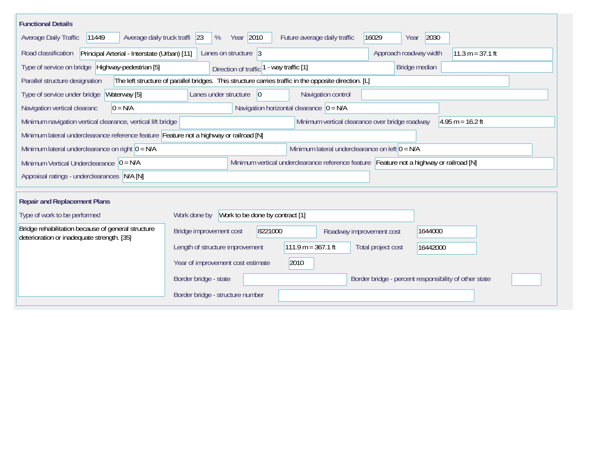| <b>Functional Details</b>                                                                                                                   |                                                         |                          |                                                       |  |  |  |  |
|---------------------------------------------------------------------------------------------------------------------------------------------|---------------------------------------------------------|--------------------------|-------------------------------------------------------|--|--|--|--|
| Year 2010<br>Average daily truck traffi 23<br>2030<br>Average Daily Traffic<br>11449<br>%<br>Future average daily traffic<br>16029<br>Year  |                                                         |                          |                                                       |  |  |  |  |
| Principal Arterial - Interstate (Urban) [11]<br>Approach roadway width<br>$11.3 m = 37.1 ft$<br>Road classification<br>Lanes on structure 3 |                                                         |                          |                                                       |  |  |  |  |
| Type of service on bridge Highway-pedestrian [5]<br>Bridge median<br>- way traffic [1]<br>Direction of traffic <sup>1</sup>                 |                                                         |                          |                                                       |  |  |  |  |
| The left structure of parallel bridges. This structure carries traffic in the opposite direction. [L]<br>Parallel structure designation     |                                                         |                          |                                                       |  |  |  |  |
| Waterway [5]<br>Lanes under structure<br>Navigation control<br>Type of service under bridge<br>$\overline{0}$                               |                                                         |                          |                                                       |  |  |  |  |
| Navigation horizontal clearance $ 0 = N/A $<br>Navigation vertical clearanc<br>$0 = N/A$                                                    |                                                         |                          |                                                       |  |  |  |  |
| Minimum navigation vertical clearance, vertical lift bridge<br>Minimum vertical clearance over bridge roadway<br>$4.95 m = 16.2 ft$         |                                                         |                          |                                                       |  |  |  |  |
| Minimum lateral underclearance reference feature Feature not a highway or railroad [N]                                                      |                                                         |                          |                                                       |  |  |  |  |
| Minimum lateral underclearance on right $0 = N/A$                                                                                           | Minimum lateral underclearance on left $0 = N/A$        |                          |                                                       |  |  |  |  |
| Minimum vertical underclearance reference feature Feature not a highway or railroad [N]<br>Minimum Vertical Underclearance $ 0 = N/A$       |                                                         |                          |                                                       |  |  |  |  |
| Appraisal ratings - underclearances N/A [N]                                                                                                 |                                                         |                          |                                                       |  |  |  |  |
|                                                                                                                                             |                                                         |                          |                                                       |  |  |  |  |
| <b>Repair and Replacement Plans</b>                                                                                                         |                                                         |                          |                                                       |  |  |  |  |
| Work to be done by contract [1]<br>Type of work to be performed<br>Work done by                                                             |                                                         |                          |                                                       |  |  |  |  |
| Bridge rehabilitation because of general structure<br>deterioration or inadequate strength. [35]                                            | 8221000<br>Bridge improvement cost                      | Roadway improvement cost | 1644000                                               |  |  |  |  |
|                                                                                                                                             | $111.9 m = 367.1 ft$<br>Length of structure improvement |                          | Total project cost<br>16442000                        |  |  |  |  |
|                                                                                                                                             | 2010<br>Year of improvement cost estimate               |                          |                                                       |  |  |  |  |
|                                                                                                                                             | Border bridge - state                                   |                          | Border bridge - percent responsibility of other state |  |  |  |  |
|                                                                                                                                             | Border bridge - structure number                        |                          |                                                       |  |  |  |  |